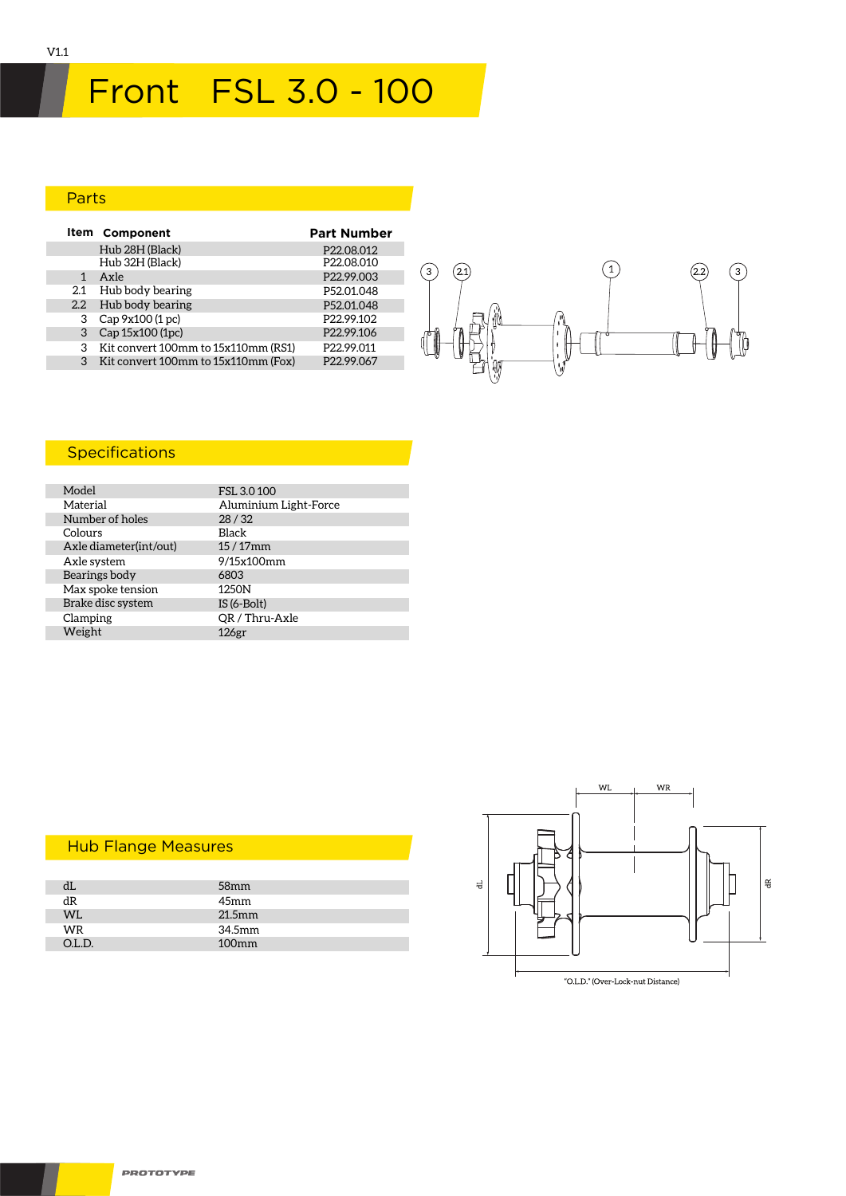# Front FSL 3.0 - 100

#### Parts

|                  | Item Component                      | <b>Part Number</b>     |
|------------------|-------------------------------------|------------------------|
|                  | Hub 28H (Black)                     | P22.08.012             |
|                  | Hub 32H (Black)                     | P22.08.010             |
| 1                | Axle                                | P22.99.003             |
| 2.1              | Hub body bearing                    | P52.01.048             |
| $2.2\phantom{0}$ | Hub body bearing                    | P52.01.048             |
| 3                | Cap 9x100 (1 pc)                    | P <sub>22.99.102</sub> |
|                  | Cap 15x100 (1pc)                    | P22.99.106             |
|                  | Kit convert 100mm to 15x110mm (RS1) | P22.99.011             |
|                  | Kit convert 100mm to 15x110mm (Fox) | P22.99.067             |



## **Specifications**

| Model                  | FSL 3.0 100           |
|------------------------|-----------------------|
| Material               | Aluminium Light-Force |
| Number of holes        | 28/32                 |
| Colours                | Black                 |
| Axle diameter(int/out) | $15/17$ mm            |
| Axle system            | 9/15x100mm            |
| Bearings body          | 6803                  |
| Max spoke tension      | 1250N                 |
| Brake disc system      | $IS(6-Bolt)$          |
| Clamping               | QR / Thru-Axle        |
| Weight                 | 126 <sub>gr</sub>     |

| Пh     | 58 <sub>mm</sub> |  |
|--------|------------------|--|
| dR     | 45mm             |  |
| WL     | $21.5$ mm        |  |
| WR     | 34.5mm           |  |
| O.L.D. | $100$ mm         |  |

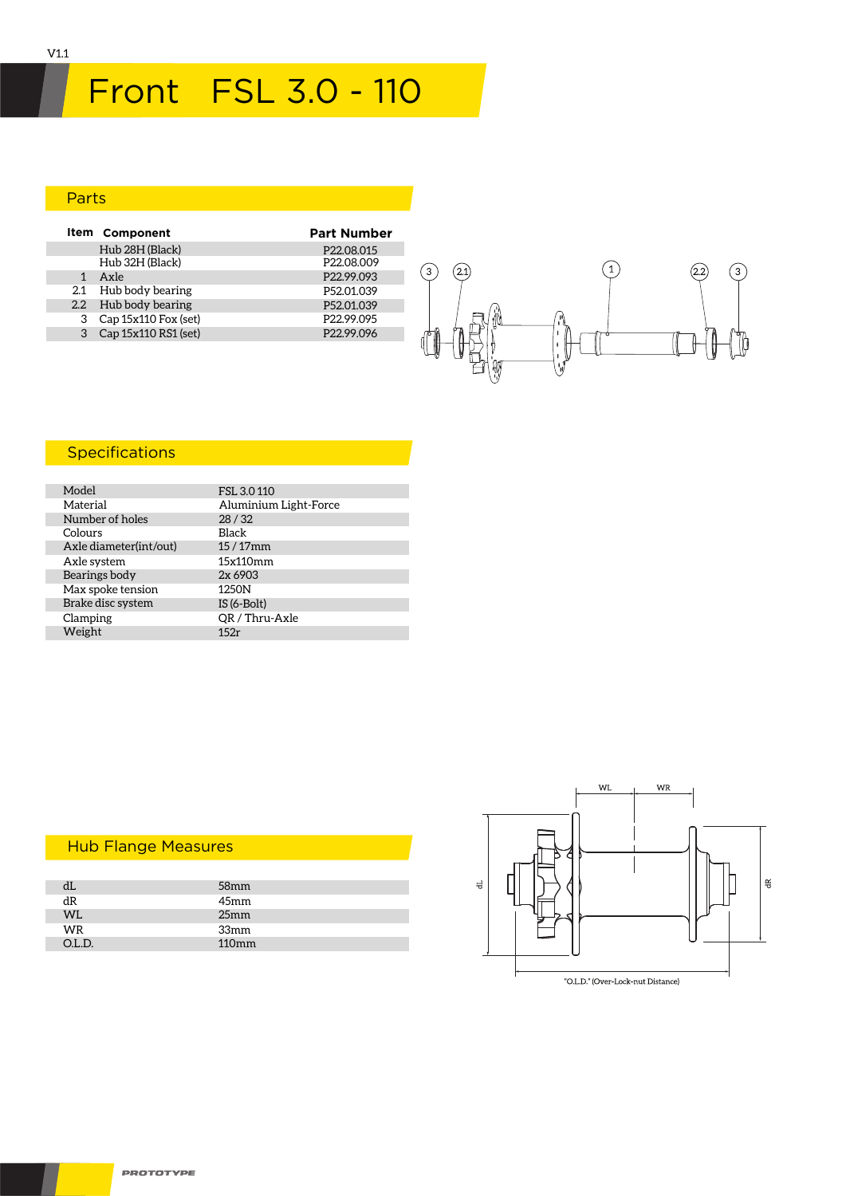## Parts

|   | Item Component         | <b>Part Number</b>     |
|---|------------------------|------------------------|
|   | Hub 28H (Black)        | P22.08.015             |
|   | Hub 32H (Black)        | P <sub>22.08.009</sub> |
| 1 | Axle                   | P22.99.093             |
|   | 2.1 Hub body bearing   | P52.01.039             |
|   | 2.2 Hub body bearing   | P52.01.039             |
| 3 | Cap 15x110 Fox (set)   | P <sub>22.99.095</sub> |
|   | 3 Cap 15x110 RS1 (set) | P22.99.096             |
|   |                        |                        |



## **Specifications**

| Model                  | FSL 3.0 110           |
|------------------------|-----------------------|
| Material               | Aluminium Light-Force |
| Number of holes        | 28/32                 |
| Colours                | <b>Black</b>          |
| Axle diameter(int/out) | $15/17$ mm            |
| Axle system            | 15x110mm              |
| Bearings body          | 2x 6903               |
| Max spoke tension      | 1250N                 |
| Brake disc system      | $IS(6-Bolt)$          |
| Clamping               | OR / Thru-Axle        |
| Weight                 | 152r                  |

|        | 58 <sub>mm</sub> |  |
|--------|------------------|--|
| dR     | 45mm             |  |
| WL     | 25 <sub>mm</sub> |  |
| WR     | 33mm             |  |
| O.L.D. | 110mm            |  |
|        |                  |  |

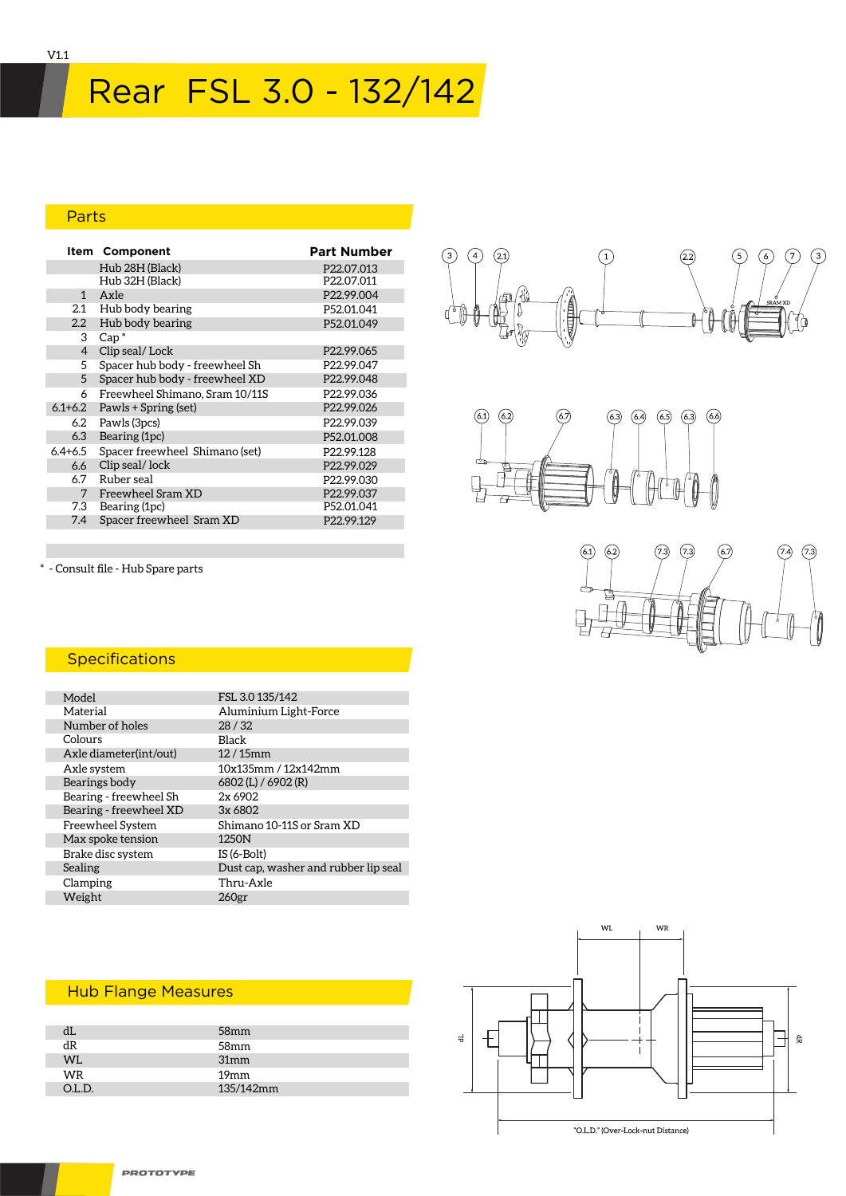# Rear FSL 3.0 - 132/142

#### Parts

|                | <b>Item Component</b>          | <b>Part Number</b>     |
|----------------|--------------------------------|------------------------|
|                | Hub 28H (Black)                | P <sub>22.07.013</sub> |
|                | Hub 32H (Black)                | P22.07.011             |
| $\mathbf{1}$   | Axle                           | P22.99.004             |
| 2.1            | Hub body bearing               | P52.01.041             |
| $2.2^{\circ}$  | Hub body bearing               | P52.01.049             |
| 3              | $Cap^*$                        |                        |
| $\overline{4}$ | Clip seal/Lock                 | P <sub>22.99.065</sub> |
| 5              | Spacer hub body - freewheel Sh | P22.99.047             |
| 5              | Spacer hub body - freewheel XD | P22.99.048             |
| 6              | Freewheel Shimano, Sram 10/11S | P22.99.036             |
| $6.1 + 6.2$    | Pawls + Spring (set)           | P22.99.026             |
| 6.2            | Pawls (3pcs)                   | P <sub>22.99.039</sub> |
| 6.3            | Bearing (1pc)                  | P52.01.008             |
| $6.4 + 6.5$    | Spacer freewheel Shimano (set) | P22.99.128             |
| 6.6            | Clip seal/lock                 | P22.99.029             |
| 6.7            | Ruber seal                     | P22.99.030             |
| 7              | Freewheel Sram XD              | P22.99.037             |
| 7.3            | Bearing (1pc)                  | P52.01.041             |
| 7.4            | Spacer freewheel Sram XD       | P <sub>22.99.129</sub> |





\* - Consult file - Hub Spare parts

#### **Specifications**

| Model                  | FSL 3.0 135/142                      |
|------------------------|--------------------------------------|
| Material               | Aluminium Light-Force                |
| Number of holes        | 28/32                                |
| Colours                | Black                                |
| Axle diameter(int/out) | $12/15$ mm                           |
| Axle system            | 10x135mm / 12x142mm                  |
| Bearings body          | 6802 (L) / 6902 (R)                  |
| Bearing - freewheel Sh | 2x6902                               |
| Bearing - freewheel XD | 3x 6802                              |
| Freewheel System       | Shimano 10-11S or Sram XD            |
| Max spoke tension      | 1250N                                |
| Brake disc system      | $IS(6-Bolt)$                         |
| Sealing                | Dust cap, washer and rubber lip seal |
| Clamping               | Thru-Axle                            |
| Weight                 | 260 <sub>gr</sub>                    |
|                        |                                      |

|           | 58 <sub>mm</sub> |  |
|-----------|------------------|--|
| dR        | 58mm             |  |
| <b>WL</b> | 31mm             |  |
| WR        | 19 <sub>mm</sub> |  |
| OL D.     | 135/142mm        |  |
|           |                  |  |